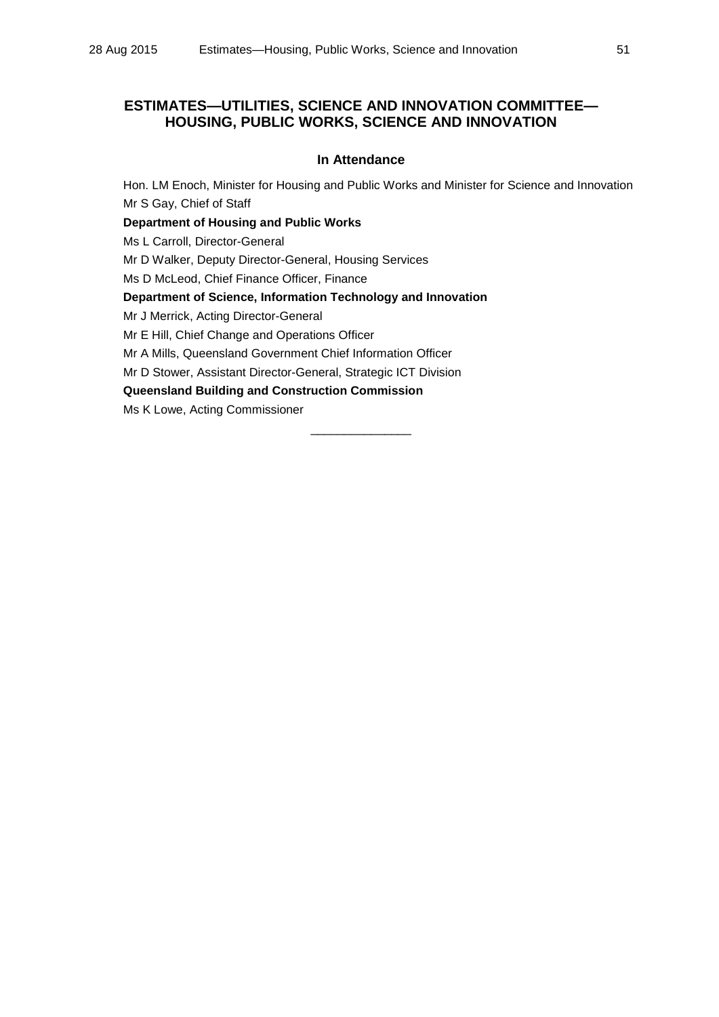## **ESTIMATES—UTILITIES, SCIENCE AND INNOVATION COMMITTEE— HOUSING, PUBLIC WORKS, SCIENCE AND INNOVATION**

## **In Attendance**

Hon. LM Enoch, Minister for Housing and Public Works and Minister for Science and Innovation Mr S Gay, Chief of Staff **Department of Housing and Public Works** Ms L Carroll, Director-General

Mr D Walker, Deputy Director-General, Housing Services

Ms D McLeod, Chief Finance Officer, Finance

**Department of Science, Information Technology and Innovation**

Mr J Merrick, Acting Director-General

Mr E Hill, Chief Change and Operations Officer

Mr A Mills, Queensland Government Chief Information Officer

Mr D Stower, Assistant Director-General, Strategic ICT Division

**Queensland Building and Construction Commission**

Ms K Lowe, Acting Commissioner

\_\_\_\_\_\_\_\_\_\_\_\_\_\_\_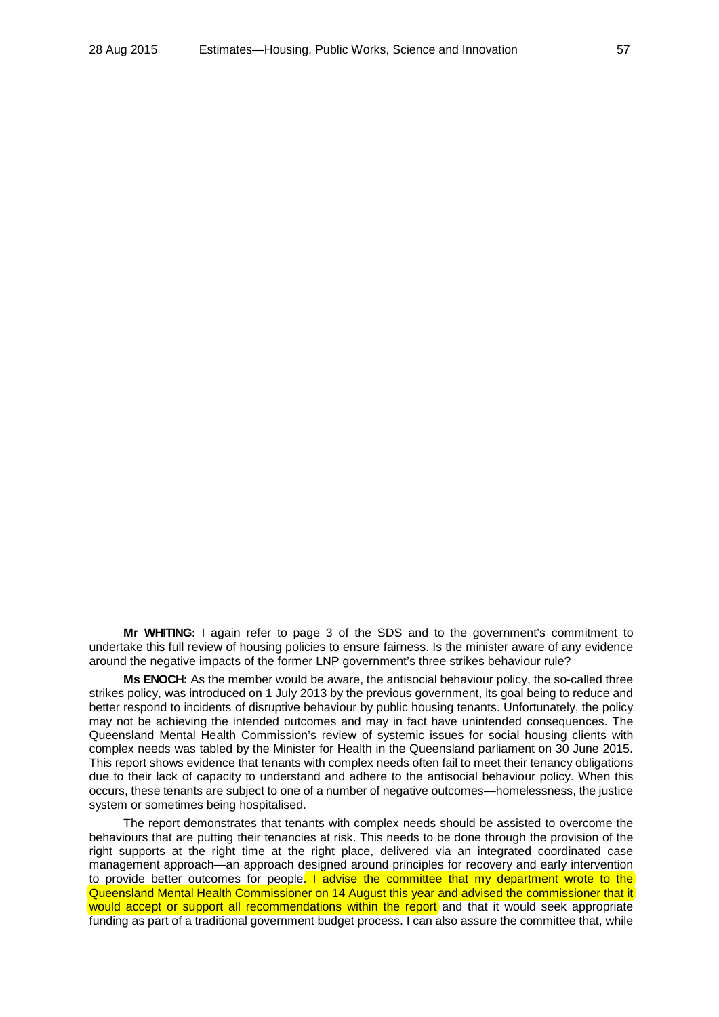**Mr WHITING:** I again refer to page 3 of the SDS and to the government's commitment to undertake this full review of housing policies to ensure fairness. Is the minister aware of any evidence around the negative impacts of the former LNP government's three strikes behaviour rule?

**Ms ENOCH:** As the member would be aware, the antisocial behaviour policy, the so-called three strikes policy, was introduced on 1 July 2013 by the previous government, its goal being to reduce and better respond to incidents of disruptive behaviour by public housing tenants. Unfortunately, the policy may not be achieving the intended outcomes and may in fact have unintended consequences. The Queensland Mental Health Commission's review of systemic issues for social housing clients with complex needs was tabled by the Minister for Health in the Queensland parliament on 30 June 2015. This report shows evidence that tenants with complex needs often fail to meet their tenancy obligations due to their lack of capacity to understand and adhere to the antisocial behaviour policy. When this occurs, these tenants are subject to one of a number of negative outcomes—homelessness, the justice system or sometimes being hospitalised.

The report demonstrates that tenants with complex needs should be assisted to overcome the behaviours that are putting their tenancies at risk. This needs to be done through the provision of the right supports at the right time at the right place, delivered via an integrated coordinated case management approach—an approach designed around principles for recovery and early intervention to provide better outcomes for people. I advise the committee that my department wrote to the Queensland Mental Health Commissioner on 14 August this year and advised the commissioner that it would accept or support all recommendations within the report and that it would seek appropriate funding as part of a traditional government budget process. I can also assure the committee that, while